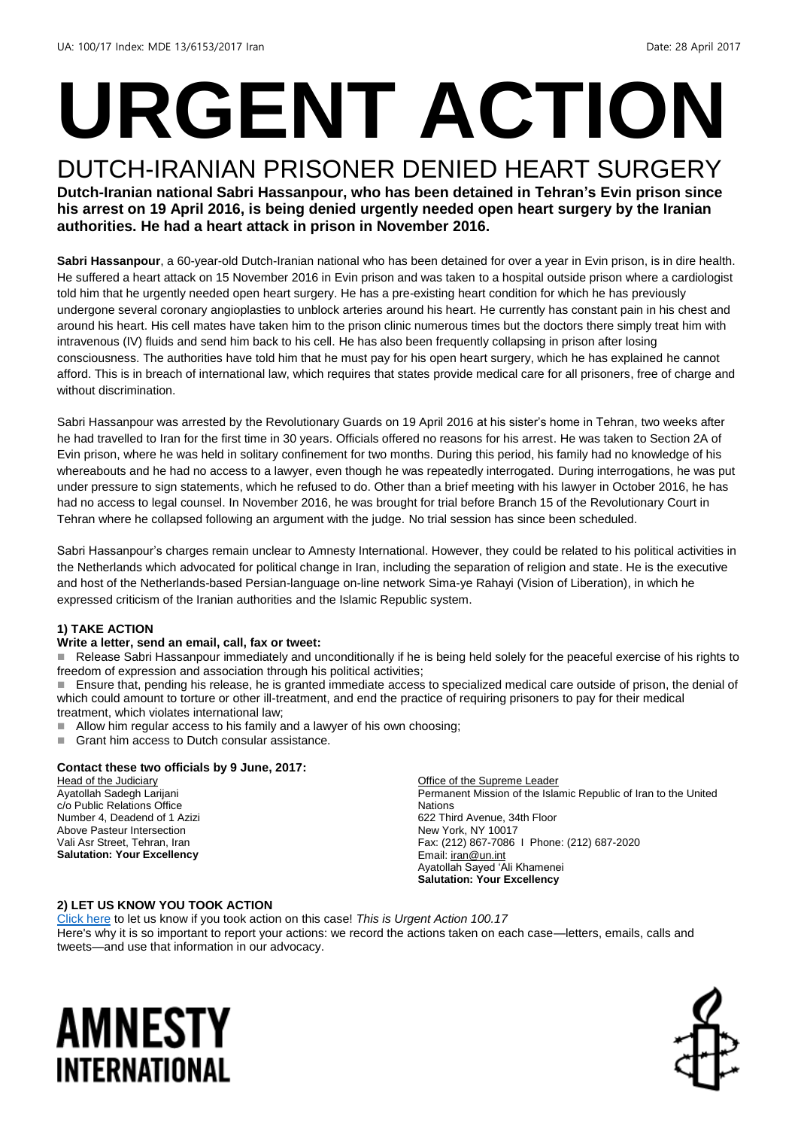# **URGENT ACTION**

#### DUTCH-IRANIAN PRISONER DENIED HEART SURGERY **Dutch-Iranian national Sabri Hassanpour, who has been detained in Tehran's Evin prison since his arrest on 19 April 2016, is being denied urgently needed open heart surgery by the Iranian authorities. He had a heart attack in prison in November 2016.**

**Sabri Hassanpour**, a 60-year-old Dutch-Iranian national who has been detained for over a year in Evin prison, is in dire health. He suffered a heart attack on 15 November 2016 in Evin prison and was taken to a hospital outside prison where a cardiologist told him that he urgently needed open heart surgery. He has a pre-existing heart condition for which he has previously undergone several coronary angioplasties to unblock arteries around his heart. He currently has constant pain in his chest and around his heart. His cell mates have taken him to the prison clinic numerous times but the doctors there simply treat him with intravenous (IV) fluids and send him back to his cell. He has also been frequently collapsing in prison after losing consciousness. The authorities have told him that he must pay for his open heart surgery, which he has explained he cannot afford. This is in breach of international law, which requires that states provide medical care for all prisoners, free of charge and without discrimination.

Sabri Hassanpour was arrested by the Revolutionary Guards on 19 April 2016 at his sister's home in Tehran, two weeks after he had travelled to Iran for the first time in 30 years. Officials offered no reasons for his arrest. He was taken to Section 2A of Evin prison, where he was held in solitary confinement for two months. During this period, his family had no knowledge of his whereabouts and he had no access to a lawyer, even though he was repeatedly interrogated. During interrogations, he was put under pressure to sign statements, which he refused to do. Other than a brief meeting with his lawyer in October 2016, he has had no access to legal counsel. In November 2016, he was brought for trial before Branch 15 of the Revolutionary Court in Tehran where he collapsed following an argument with the judge. No trial session has since been scheduled.

Sabri Hassanpour's charges remain unclear to Amnesty International. However, they could be related to his political activities in the Netherlands which advocated for political change in Iran, including the separation of religion and state. He is the executive and host of the Netherlands-based Persian-language on-line network Sima-ye Rahayi (Vision of Liberation), in which he expressed criticism of the Iranian authorities and the Islamic Republic system.

#### **1) TAKE ACTION**

#### **Write a letter, send an email, call, fax or tweet:**

 Release Sabri Hassanpour immediately and unconditionally if he is being held solely for the peaceful exercise of his rights to freedom of expression and association through his political activities;

 Ensure that, pending his release, he is granted immediate access to specialized medical care outside of prison, the denial of which could amount to torture or other ill-treatment, and end the practice of requiring prisoners to pay for their medical treatment, which violates international law;

- Allow him regular access to his family and a lawyer of his own choosing;
- Grant him access to Dutch consular assistance.

#### **Contact these two officials by 9 June, 2017:**

Head of the Judiciary Ayatollah Sadegh Larijani c/o Public Relations Office Number 4, Deadend of 1 Azizi Above Pasteur Intersection Vali Asr Street, Tehran, Iran **Salutation: Your Excellency**

Office of the Supreme Leader Permanent Mission of the Islamic Republic of Iran to the United Nations 622 Third Avenue, 34th Floor New York, NY 10017 Fax: (212) 867-7086 I Phone: (212) 687-2020 Email[: iran@un.int](mailto:iran@un.int) Ayatollah Sayed 'Ali Khamenei **Salutation: Your Excellency**

#### **2) LET US KNOW YOU TOOK ACTION**

[Click here](https://docs.google.com/forms/d/e/1FAIpQLScIt-IKXjz0vOhKI-Te7gy7EmtiwCq5D-fD6EGVHOxNcvUgKw/viewform) to let us know if you took action on this case! *This is Urgent Action 100.17*  Here's why it is so important to report your actions: we record the actions taken on each case—letters, emails, calls and tweets—and use that information in our advocacy.